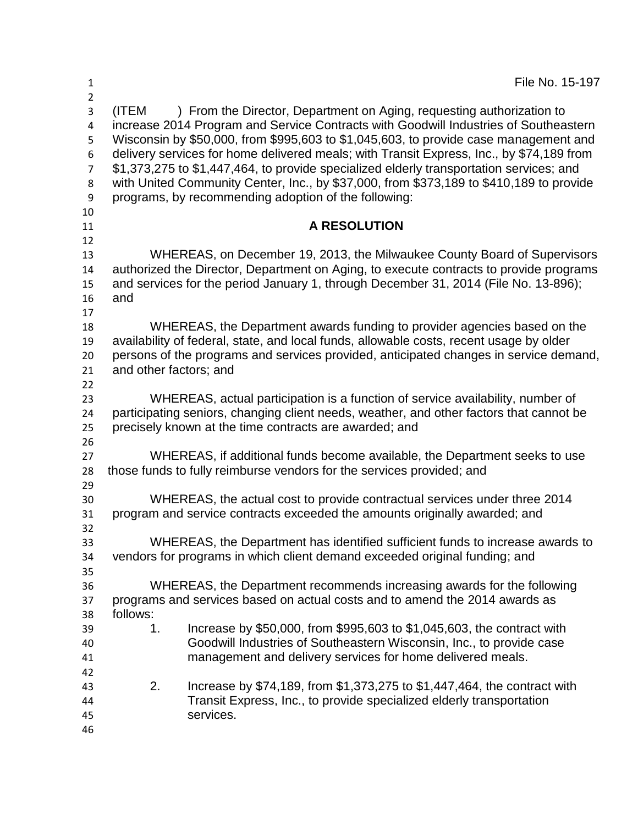| $\mathbf{1}$                                                   | File No. 15-197                                                                                                                                                                                                                                                                                                                                                                                                                                                                                                                                                                                          |
|----------------------------------------------------------------|----------------------------------------------------------------------------------------------------------------------------------------------------------------------------------------------------------------------------------------------------------------------------------------------------------------------------------------------------------------------------------------------------------------------------------------------------------------------------------------------------------------------------------------------------------------------------------------------------------|
| $\overline{2}$<br>3<br>4<br>5<br>6<br>$\overline{7}$<br>8<br>9 | ) From the Director, Department on Aging, requesting authorization to<br>(ITEM<br>increase 2014 Program and Service Contracts with Goodwill Industries of Southeastern<br>Wisconsin by \$50,000, from \$995,603 to \$1,045,603, to provide case management and<br>delivery services for home delivered meals; with Transit Express, Inc., by \$74,189 from<br>\$1,373,275 to \$1,447,464, to provide specialized elderly transportation services; and<br>with United Community Center, Inc., by \$37,000, from \$373,189 to \$410,189 to provide<br>programs, by recommending adoption of the following: |
| 10<br>11                                                       | <b>A RESOLUTION</b>                                                                                                                                                                                                                                                                                                                                                                                                                                                                                                                                                                                      |
| 12<br>13<br>14<br>15<br>16<br>17                               | WHEREAS, on December 19, 2013, the Milwaukee County Board of Supervisors<br>authorized the Director, Department on Aging, to execute contracts to provide programs<br>and services for the period January 1, through December 31, 2014 (File No. 13-896);<br>and                                                                                                                                                                                                                                                                                                                                         |
| 18<br>19<br>20<br>21<br>22                                     | WHEREAS, the Department awards funding to provider agencies based on the<br>availability of federal, state, and local funds, allowable costs, recent usage by older<br>persons of the programs and services provided, anticipated changes in service demand,<br>and other factors; and                                                                                                                                                                                                                                                                                                                   |
| 23<br>24<br>25                                                 | WHEREAS, actual participation is a function of service availability, number of<br>participating seniors, changing client needs, weather, and other factors that cannot be<br>precisely known at the time contracts are awarded; and                                                                                                                                                                                                                                                                                                                                                                      |
| 26<br>27<br>28                                                 | WHEREAS, if additional funds become available, the Department seeks to use<br>those funds to fully reimburse vendors for the services provided; and                                                                                                                                                                                                                                                                                                                                                                                                                                                      |
| 29<br>30<br>31<br>32                                           | WHEREAS, the actual cost to provide contractual services under three 2014<br>program and service contracts exceeded the amounts originally awarded; and                                                                                                                                                                                                                                                                                                                                                                                                                                                  |
| 33<br>34<br>35                                                 | WHEREAS, the Department has identified sufficient funds to increase awards to<br>vendors for programs in which client demand exceeded original funding; and                                                                                                                                                                                                                                                                                                                                                                                                                                              |
| 36<br>37<br>38                                                 | WHEREAS, the Department recommends increasing awards for the following<br>programs and services based on actual costs and to amend the 2014 awards as<br>follows:                                                                                                                                                                                                                                                                                                                                                                                                                                        |
| 39<br>40<br>41                                                 | Increase by \$50,000, from \$995,603 to \$1,045,603, the contract with<br>1.<br>Goodwill Industries of Southeastern Wisconsin, Inc., to provide case<br>management and delivery services for home delivered meals.                                                                                                                                                                                                                                                                                                                                                                                       |
| 42<br>43<br>44<br>45<br>46                                     | 2.<br>Increase by \$74,189, from \$1,373,275 to \$1,447,464, the contract with<br>Transit Express, Inc., to provide specialized elderly transportation<br>services.                                                                                                                                                                                                                                                                                                                                                                                                                                      |